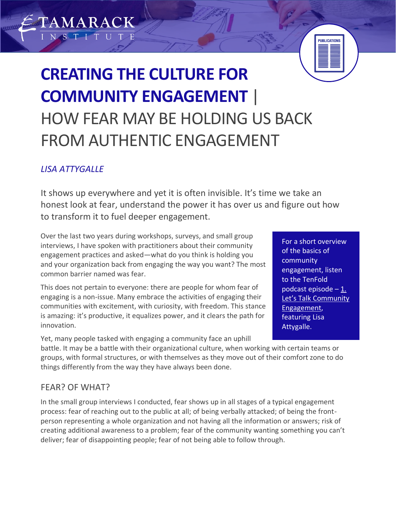# **CREATING THE CULTURE FOR COMMUNITY ENGAGEMENT** | HOW FEAR MAY BE HOLDING US BACK FROM AUTHENTIC ENGAGEMENT

## *LISA ATTYGALLE*

TAMARACK

It shows up everywhere and yet it is often invisible. It's time we take an honest look at fear, understand the power it has over us and figure out how to transform it to fuel deeper engagement.

Over the last two years during workshops, surveys, and small group interviews, I have spoken with practitioners about their community engagement practices and asked—what do you think is holding you and your organization back from engaging the way you want? The most common barrier named was fear.

This does not pertain to everyone: there are people for whom fear of engaging is a non-issue. Many embrace the activities of engaging their communities with excitement, with curiosity, with freedom. This stance is amazing: it's productive, it equalizes power, and it clears the path for innovation.

Yet, many people tasked with engaging a community face an uphill

For a short overview of the basics of community engagement, listen to the TenFold podcast episode – [1.](http://phesc.ca/podcast)  Let's Talk [Community](http://phesc.ca/podcast)  [Engagement,](http://phesc.ca/podcast) featuring Lisa Attygalle.

**PUBLICATIONS** 

battle. It may be a battle with their organizational culture, when working with certain teams or groups, with formal structures, or with themselves as they move out of their comfort zone to do things differently from the way they have always been done.

## FEAR? OF WHAT?

In the small group interviews I conducted, fear shows up in all stages of a typical engagement process: fear of reaching out to the public at all; of being verbally attacked; of being the frontperson representing a whole organization and not having all the information or answers; risk of creating additional awareness to a problem; fear of the community wanting something you can't deliver; fear of disappointing people; fear of not being able to follow through.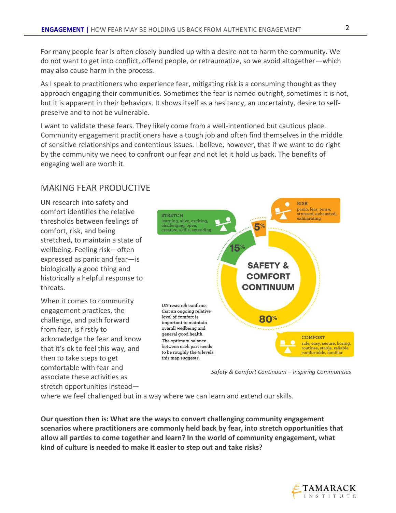For many people fear is often closely bundled up with a desire not to harm the community. We do not want to get into conflict, offend people, or retraumatize, so we avoid altogether—which may also cause harm in the process.

As I speak to practitioners who experience fear, mitigating risk is a consuming thought as they approach engaging their communities. Sometimes the fear is named outright, sometimes it is not, but it is apparent in their behaviors. It shows itself as a hesitancy, an uncertainty, desire to selfpreserve and to not be vulnerable.

I want to validate these fears. They likely come from a well-intentioned but cautious place. Community engagement practitioners have a tough job and often find themselves in the middle of sensitive relationships and contentious issues. I believe, however, that if we want to do right by the community we need to confront our fear and not let it hold us back. The benefits of engaging well are worth it.

#### MAKING FEAR PRODUCTIVE

UN research into safety and comfort identifies the relative thresholds between feelings of comfort, risk, and being stretched, to maintain a state of wellbeing. Feeling risk—often expressed as panic and fear—is biologically a good thing and historically a helpful response to threats.

When it comes to community engagement practices, the challenge, and path forward from fear, is firstly to acknowledge the fear and know that it's ok to feel this way, and then to take steps to get comfortable with fear and associate these activities as stretch opportunities instead—



*Safety & Comfort Continuum – Inspiring Communities*

where we feel challenged but in a way where we can learn and extend our skills.

**Our question then is: What are the ways to convert challenging community engagement scenarios where practitioners are commonly held back by fear, into stretch opportunities that allow all parties to come together and learn? In the world of community engagement, what kind of culture is needed to make it easier to step out and take risks?**

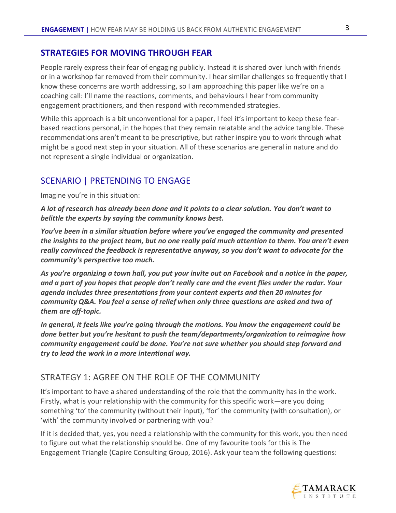#### **STRATEGIES FOR MOVING THROUGH FEAR**

People rarely express their fear of engaging publicly. Instead it is shared over lunch with friends or in a workshop far removed from their community. I hear similar challenges so frequently that I know these concerns are worth addressing, so I am approaching this paper like we're on a coaching call: I'll name the reactions, comments, and behaviours I hear from community engagement practitioners, and then respond with recommended strategies.

While this approach is a bit unconventional for a paper, I feel it's important to keep these fearbased reactions personal, in the hopes that they remain relatable and the advice tangible. These recommendations aren't meant to be prescriptive, but rather inspire you to work through what might be a good next step in your situation. All of these scenarios are general in nature and do not represent a single individual or organization.

#### SCENARIO | PRETENDING TO ENGAGE

Imagine you're in this situation:

*A lot of research has already been done and it points to a clear solution. You don't want to belittle the experts by saying the community knows best.* 

*You've been in a similar situation before where you've engaged the community and presented the insights to the project team, but no one really paid much attention to them. You aren't even really convinced the feedback is representative anyway, so you don't want to advocate for the community's perspective too much.*

*As you're organizing a town hall, you put your invite out on Facebook and a notice in the paper, and a part of you hopes that people don't really care and the event flies under the radar. Your agenda includes three presentations from your content experts and then 20 minutes for community Q&A. You feel a sense of relief when only three questions are asked and two of them are off-topic.*

*In general, it feels like you're going through the motions. You know the engagement could be done better but you're hesitant to push the team/departments/organization to reimagine how community engagement could be done. You're not sure whether you should step forward and try to lead the work in a more intentional way.*

#### STRATEGY 1: AGREE ON THE ROLE OF THE COMMUNITY

It's important to have a shared understanding of the role that the community has in the work. Firstly, what is your relationship with the community for this specific work—are you doing something 'to' the community (without their input), 'for' the community (with consultation), or 'with' the community involved or partnering with you?

If it is decided that, yes, you need a relationship with the community for this work, you then need to figure out what the relationship should be. One of my favourite tools for this is The Engagement Triangle (Capire Consulting Group, 2016). Ask your team the following questions:

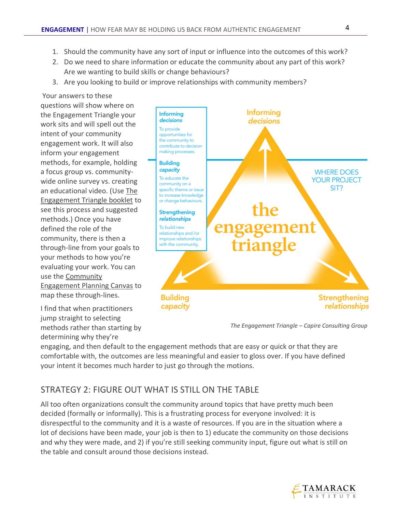- 1. Should the community have any sort of input or influence into the outcomes of this work?
- 2. Do we need to share information or educate the community about any part of this work? Are we wanting to build skills or change behaviours?
- 3. Are you looking to build or improve relationships with community members?

Your answers to these questions will show where on the Engagement Triangle your work sits and will spell out the intent of your community engagement work. It will also inform your engagement methods, for example, holding a focus group vs. communitywide online survey vs. creating an educational video. (Use [The](https://www.tamarackcommunity.ca/hubfs/Resources/Tools/Capire%20Triangle%20Booklet.pdf)  [Engagement Triangle booklet](https://www.tamarackcommunity.ca/hubfs/Resources/Tools/Capire%20Triangle%20Booklet.pdf) to see this process and suggested methods.) Once you have defined the role of the community, there is then a through-line from your goals to your methods to how you're evaluating your work. You can use the [Community](https://www.tamarackcommunity.ca/hubfs/Resources/Publications/Community%20Engagement%20Planning%20Canvas.pdf)  [Engagement Planning Canvas](https://www.tamarackcommunity.ca/hubfs/Resources/Publications/Community%20Engagement%20Planning%20Canvas.pdf) to map these through-lines.

I find that when practitioners jump straight to selecting methods rather than starting by determining why they're



*The Engagement Triangle – Capire Consulting Group*

engaging, and then default to the engagement methods that are easy or quick or that they are comfortable with, the outcomes are less meaningful and easier to gloss over. If you have defined your intent it becomes much harder to just go through the motions.

## STRATEGY 2: FIGURE OUT WHAT IS STILL ON THE TABLE

All too often organizations consult the community around topics that have pretty much been decided (formally or informally). This is a frustrating process for everyone involved: it is disrespectful to the community and it is a waste of resources. If you are in the situation where a lot of decisions have been made, your job is then to 1) educate the community on those decisions and why they were made, and 2) if you're still seeking community input, figure out what is still on the table and consult around those decisions instead.

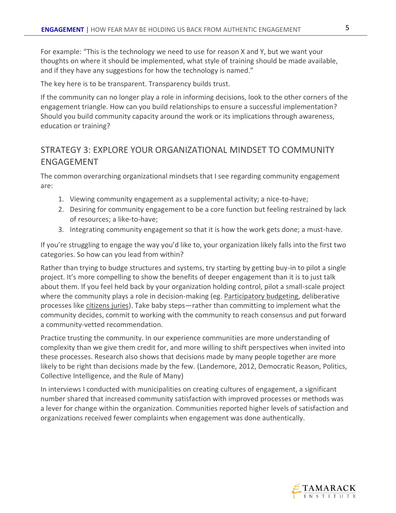For example: "This is the technology we need to use for reason X and Y, but we want your thoughts on where it should be implemented, what style of training should be made available, and if they have any suggestions for how the technology is named."

The key here is to be transparent. Transparency builds trust.

If the community can no longer play a role in informing decisions, look to the other corners of the engagement triangle. How can you build relationships to ensure a successful implementation? Should you build community capacity around the work or its implications through awareness, education or training?

## STRATEGY 3: EXPLORE YOUR ORGANIZATIONAL MINDSET TO COMMUNITY ENGAGEMENT

The common overarching organizational mindsets that I see regarding community engagement are:

- 1. Viewing community engagement as a supplemental activity; a nice-to-have;
- 2. Desiring for community engagement to be a core function but feeling restrained by lack of resources; a like-to-have;
- 3. Integrating community engagement so that it is how the work gets done; a must-have.

If you're struggling to engage the way you'd like to, your organization likely falls into the first two categories. So how can you lead from within?

Rather than trying to budge structures and systems, try starting by getting buy-in to pilot a single project. It's more compelling to show the benefits of deeper engagement than it is to just talk about them. If you feel held back by your organization holding control, pilot a small-scale project where the community plays a role in decision-making (eg. [Participatory budgeting,](http://www.tamarackcommunity.ca/library/participatory-budgeting) deliberative processes like [citizens juries\)](http://www.tamarackcommunity.ca/library/hosting-citizen-jury). Take baby steps—rather than committing to implement what the community decides, commit to working with the community to reach consensus and put forward a community-vetted recommendation.

Practice trusting the community. In our experience communities are more understanding of complexity than we give them credit for, and more willing to shift perspectives when invited into these processes. Research also shows that decisions made by many people together are more likely to be right than decisions made by the few. (Landemore, 2012, Democratic Reason, Politics, Collective Intelligence, and the Rule of Many)

In interviews I conducted with municipalities on creating cultures of engagement, a significant number shared that increased community satisfaction with improved processes or methods was a lever for change within the organization. Communities reported higher levels of satisfaction and organizations received fewer complaints when engagement was done authentically.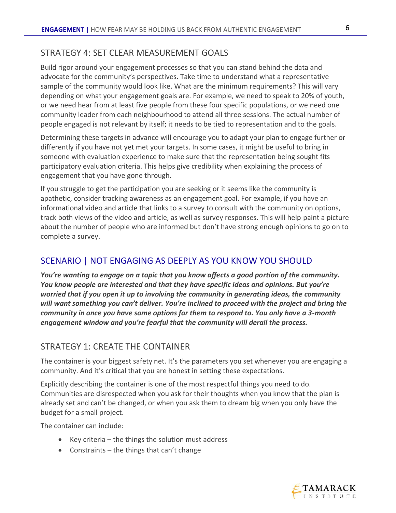#### STRATEGY 4: SET CLEAR MEASUREMENT GOALS

Build rigor around your engagement processes so that you can stand behind the data and advocate for the community's perspectives. Take time to understand what a representative sample of the community would look like. What are the minimum requirements? This will vary depending on what your engagement goals are. For example, we need to speak to 20% of youth, or we need hear from at least five people from these four specific populations, or we need one community leader from each neighbourhood to attend all three sessions. The actual number of people engaged is not relevant by itself; it needs to be tied to representation and to the goals.

Determining these targets in advance will encourage you to adapt your plan to engage further or differently if you have not yet met your targets. In some cases, it might be useful to bring in someone with evaluation experience to make sure that the representation being sought fits participatory evaluation criteria. This helps give credibility when explaining the process of engagement that you have gone through.

If you struggle to get the participation you are seeking or it seems like the community is apathetic, consider tracking awareness as an engagement goal. For example, if you have an informational video and article that links to a survey to consult with the community on options, track both views of the video and article, as well as survey responses. This will help paint a picture about the number of people who are informed but don't have strong enough opinions to go on to complete a survey.

#### SCENARIO | NOT ENGAGING AS DEEPLY AS YOU KNOW YOU SHOULD

*You're wanting to engage on a topic that you know affects a good portion of the community. You know people are interested and that they have specific ideas and opinions. But you're worried that if you open it up to involving the community in generating ideas, the community will want something you can't deliver. You're inclined to proceed with the project and bring the community in once you have some options for them to respond to. You only have a 3-month engagement window and you're fearful that the community will derail the process.*

#### STRATEGY 1: CREATE THE CONTAINER

The container is your biggest safety net. It's the parameters you set whenever you are engaging a community. And it's critical that you are honest in setting these expectations.

Explicitly describing the container is one of the most respectful things you need to do. Communities are disrespected when you ask for their thoughts when you know that the plan is already set and can't be changed, or when you ask them to dream big when you only have the budget for a small project.

The container can include:

- Key criteria the things the solution must address
- Constraints the things that can't change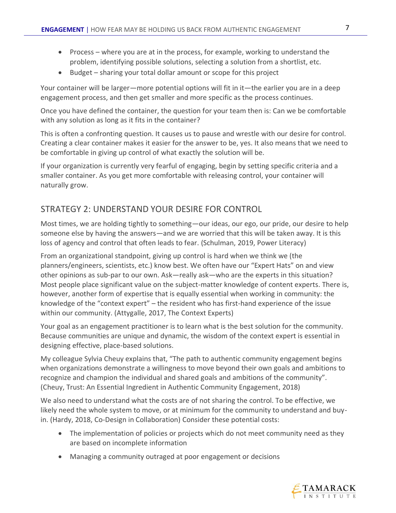- Process where you are at in the process, for example, working to understand the problem, identifying possible solutions, selecting a solution from a shortlist, etc.
- Budget sharing your total dollar amount or scope for this project

Your container will be larger—more potential options will fit in it—the earlier you are in a deep engagement process, and then get smaller and more specific as the process continues.

Once you have defined the container, the question for your team then is: Can we be comfortable with any solution as long as it fits in the container?

This is often a confronting question. It causes us to pause and wrestle with our desire for control. Creating a clear container makes it easier for the answer to be, yes. It also means that we need to be comfortable in giving up control of what exactly the solution will be.

If your organization is currently very fearful of engaging, begin by setting specific criteria and a smaller container. As you get more comfortable with releasing control, your container will naturally grow.

#### STRATEGY 2: UNDERSTAND YOUR DESIRE FOR CONTROL

Most times, we are holding tightly to something—our ideas, our ego, our pride, our desire to help someone else by having the answers—and we are worried that this will be taken away. It is this loss of agency and control that often leads to fear. (Schulman, 2019, Power Literacy)

From an organizational standpoint, giving up control is hard when we think we (the planners/engineers, scientists, etc.) know best. We often have our "Expert Hats" on and view other opinions as sub-par to our own. Ask—really ask—who are the experts in this situation? Most people place significant value on the subject-matter knowledge of content experts. There is, however, another form of expertise that is equally essential when working in community: the knowledge of the "context expert" – the resident who has first-hand experience of the issue within our community. (Attygalle, 2017, The Context Experts)

Your goal as an engagement practitioner is to learn what is the best solution for the community. Because communities are unique and dynamic, the wisdom of the context expert is essential in designing effective, place-based solutions.

My colleague Sylvia Cheuy explains that, "The path to authentic community engagement begins when organizations demonstrate a willingness to move beyond their own goals and ambitions to recognize and champion the individual and shared goals and ambitions of the community". (Cheuy, Trust: An Essential Ingredient in Authentic Community Engagement, 2018)

We also need to understand what the costs are of not sharing the control. To be effective, we likely need the whole system to move, or at minimum for the community to understand and buyin. (Hardy, 2018, Co-Design in Collaboration) Consider these potential costs:

- The implementation of policies or projects which do not meet community need as they are based on incomplete information
- Managing a community outraged at poor engagement or decisions

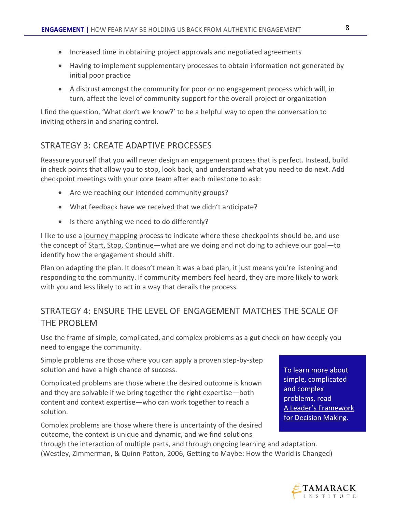- Increased time in obtaining project approvals and negotiated agreements
- Having to implement supplementary processes to obtain information not generated by initial poor practice
- A distrust amongst the community for poor or no engagement process which will, in turn, affect the level of community support for the overall project or organization

I find the question, 'What don't we know?' to be a helpful way to open the conversation to inviting others in and sharing control.

#### STRATEGY 3: CREATE ADAPTIVE PROCESSES

Reassure yourself that you will never design an engagement process that is perfect. Instead, build in check points that allow you to stop, look back, and understand what you need to do next. Add checkpoint meetings with your core team after each milestone to ask:

- Are we reaching our intended community groups?
- What feedback have we received that we didn't anticipate?
- Is there anything we need to do differently?

I like to use a [journey mapping](http://www.tamarackcommunity.ca/library/journey-map) process to indicate where these checkpoints should be, and use the concept of [Start, Stop, Continue](http://www.tamarackcommunity.ca/library/start-stop-continue)—what are we doing and not doing to achieve our goal—to identify how the engagement should shift.

Plan on adapting the plan. It doesn't mean it was a bad plan, it just means you're listening and responding to the community. If community members feel heard, they are more likely to work with you and less likely to act in a way that derails the process.

## STRATEGY 4: ENSURE THE LEVEL OF ENGAGEMENT MATCHES THE SCALE OF THE PROBLEM

Use the frame of simple, complicated, and complex problems as a gut check on how deeply you need to engage the community.

Simple problems are those where you can apply a proven step-by-step solution and have a high chance of success.

Complicated problems are those where the desired outcome is known and they are solvable if we bring together the right expertise—both content and context expertise—who can work together to reach a solution.

Complex problems are those where there is uncertainty of the desired outcome, the context is unique and dynamic, and we find solutions

To learn more about simple, complicated and complex problems, read A Leader's Framework for Decision Making.

through the interaction of multiple parts, and through ongoing learning and adaptation. (Westley, Zimmerman, & Quinn Patton, 2006, Getting to Maybe: How the World is Changed)

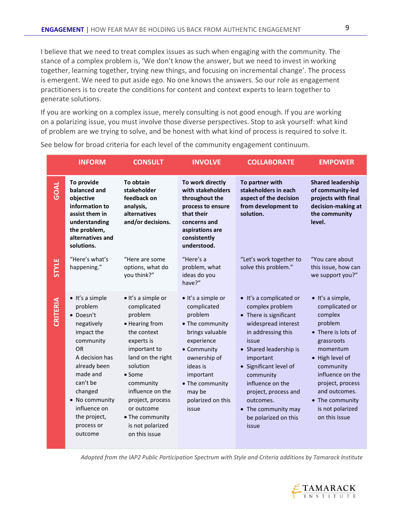I believe that we need to treat complex issues as such when engaging with the community. The stance of a complex problem is, 'We don't know the answer, but we need to invest in working together, learning together, trying new things, and focusing on incremental change'. The process is emergent. We need to put aside ego. No one knows the answers. So our role as engagement practitioners is to create the conditions for content and context experts to learn together to generate solutions.

If you are working on a complex issue, merely consulting is not good enough. If you are working on a polarizing issue, you must involve those diverse perspectives. Stop to ask yourself: what kind of problem are we trying to solve, and be honest with what kind of process is required to solve it.

|              | <b>INFORM</b>                                                                                                                                                                                                                                 | <b>CONSULT</b>                                                                                                                                                                                                                                                                            | <b>INVOLVE</b>                                                                                                                                                                                                      | <b>COLLABORATE</b>                                                                                                                                                                                                                                                                                                        | <b>EMPOWER</b>                                                                                                                                                                                                                                            |
|--------------|-----------------------------------------------------------------------------------------------------------------------------------------------------------------------------------------------------------------------------------------------|-------------------------------------------------------------------------------------------------------------------------------------------------------------------------------------------------------------------------------------------------------------------------------------------|---------------------------------------------------------------------------------------------------------------------------------------------------------------------------------------------------------------------|---------------------------------------------------------------------------------------------------------------------------------------------------------------------------------------------------------------------------------------------------------------------------------------------------------------------------|-----------------------------------------------------------------------------------------------------------------------------------------------------------------------------------------------------------------------------------------------------------|
| <b>GOAL</b>  | To provide<br>balanced and<br>objective<br>information to<br>assist them in<br>understanding<br>the problem,<br>alternatives and<br>solutions.                                                                                                | To obtain<br>stakeholder<br>feedback on<br>analysis,<br>alternatives<br>and/or decisions.                                                                                                                                                                                                 | To work directly<br>with stakeholders<br>throughout the<br>process to ensure<br>that their<br>concerns and<br>aspirations are<br>consistently<br>understood.                                                        | To partner with<br>stakeholders in each<br>aspect of the decision<br>from development to<br>solution.                                                                                                                                                                                                                     | <b>Shared leadership</b><br>of community-led<br>projects with final<br>decision-making at<br>the community<br>level.                                                                                                                                      |
| <b>STYLE</b> | "Here's what's<br>happening."                                                                                                                                                                                                                 | "Here are some<br>options, what do<br>you think?"                                                                                                                                                                                                                                         | "Here's a<br>problem, what<br>ideas do you<br>have?"                                                                                                                                                                | "Let's work together to<br>solve this problem."                                                                                                                                                                                                                                                                           | "You care about"<br>this issue, how can<br>we support you?"                                                                                                                                                                                               |
| CRITERIA     | • It's a simple<br>problem<br>• Doesn't<br>negatively<br>impact the<br>community<br><b>OR</b><br>A decision has<br>already been<br>made and<br>can't be<br>changed<br>• No community<br>influence on<br>the project,<br>process or<br>outcome | · It's a simple or<br>complicated<br>problem<br>• Hearing from<br>the context<br>experts is<br>important to<br>land on the right<br>solution<br>$\bullet$ Some<br>community<br>influence on the<br>project, process<br>or outcome<br>• The community<br>is not polarized<br>on this issue | • It's a simple or<br>complicated<br>problem<br>• The community<br>brings valuable<br>experience<br>• Community<br>ownership of<br>ideas is<br>important<br>• The community<br>may be<br>polarized on this<br>issue | • It's a complicated or<br>complex problem<br>• There is significant<br>widespread interest<br>in addressing this<br>issue<br>• Shared leadership is<br>important<br>• Significant level of<br>community<br>influence on the<br>project, process and<br>outcomes.<br>• The community may<br>be polarized on this<br>issue | · It's a simple,<br>complicated or<br>complex<br>problem<br>• There is lots of<br>grassroots<br>momentum<br>• High level of<br>community<br>influence on the<br>project, process<br>and outcomes.<br>• The community<br>is not polarized<br>on this issue |

See below for broad criteria for each level of the community engagement continuum.

*Adapted from the IAP2 Public Participation Spectrum with Style and Criteria additions by Tamarack Institute*

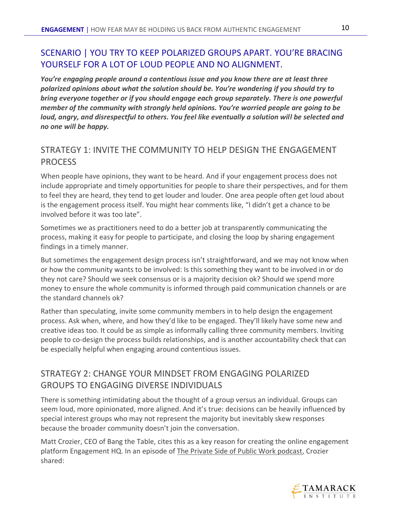## SCENARIO | YOU TRY TO KEEP POLARIZED GROUPS APART. YOU'RE BRACING YOURSELF FOR A LOT OF LOUD PEOPLE AND NO ALIGNMENT.

*You're engaging people around a contentious issue and you know there are at least three polarized opinions about what the solution should be. You're wondering if you should try to bring everyone together or if you should engage each group separately. There is one powerful member of the community with strongly held opinions. You're worried people are going to be loud, angry, and disrespectful to others. You feel like eventually a solution will be selected and no one will be happy.*

## STRATEGY 1: INVITE THE COMMUNITY TO HELP DESIGN THE ENGAGEMENT PROCESS

When people have opinions, they want to be heard. And if your engagement process does not include appropriate and timely opportunities for people to share their perspectives, and for them to feel they are heard, they tend to get louder and louder. One area people often get loud about is the engagement process itself. You might hear comments like, "I didn't get a chance to be involved before it was too late".

Sometimes we as practitioners need to do a better job at transparently communicating the process, making it easy for people to participate, and closing the loop by sharing engagement findings in a timely manner.

But sometimes the engagement design process isn't straightforward, and we may not know when or how the community wants to be involved: Is this something they want to be involved in or do they not care? Should we seek consensus or is a majority decision ok? Should we spend more money to ensure the whole community is informed through paid communication channels or are the standard channels ok?

Rather than speculating, invite some community members in to help design the engagement process. Ask when, where, and how they'd like to be engaged. They'll likely have some new and creative ideas too. It could be as simple as informally calling three community members. Inviting people to co-design the process builds relationships, and is another accountability check that can be especially helpful when engaging around contentious issues.

## STRATEGY 2: CHANGE YOUR MINDSET FROM ENGAGING POLARIZED GROUPS TO ENGAGING DIVERSE INDIVIDUALS

There is something intimidating about the thought of a group versus an individual. Groups can seem loud, more opinionated, more aligned. And it's true: decisions can be heavily influenced by special interest groups who may not represent the majority but inevitably skew responses because the broader community doesn't join the conversation.

Matt Crozier, CEO of Bang the Table, cites this as a key reason for creating the online engagement platform Engagement HQ. In an episode of [The Private Side of Public Work podcast,](https://privatesideofpublic.work/) Crozier shared:

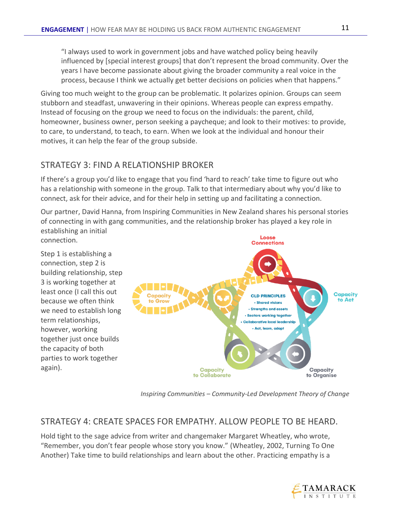"I always used to work in government jobs and have watched policy being heavily influenced by [special interest groups] that don't represent the broad community. Over the years I have become passionate about giving the broader community a real voice in the process, because I think we actually get better decisions on policies when that happens."

Giving too much weight to the group can be problematic. It polarizes opinion. Groups can seem stubborn and steadfast, unwavering in their opinions. Whereas people can express empathy. Instead of focusing on the group we need to focus on the individuals: the parent, child, homeowner, business owner, person seeking a paycheque; and look to their motives: to provide, to care, to understand, to teach, to earn. When we look at the individual and honour their motives, it can help the fear of the group subside.

#### STRATEGY 3: FIND A RELATIONSHIP BROKER

If there's a group you'd like to engage that you find 'hard to reach' take time to figure out who has a relationship with someone in the group. Talk to that intermediary about why you'd like to connect, ask for their advice, and for their help in setting up and facilitating a connection.

Our partner, David Hanna, from Inspiring Communities in New Zealand shares his personal stories of connecting in with gang communities, and the relationship broker has played a key role in establishing an initial

connection.

Step 1 is establishing a connection, step 2 is building relationship, step 3 is working together at least once (I call this out because we often think we need to establish long term relationships, however, working together just once builds the capacity of both parties to work together again).



*Inspiring Communities – Community-Led Development Theory of Change*

#### STRATEGY 4: CREATE SPACES FOR EMPATHY. ALLOW PEOPLE TO BE HEARD.

Hold tight to the sage advice from writer and changemaker Margaret Wheatley, who wrote, "Remember, you don't fear people whose story you know." (Wheatley, 2002, Turning To One Another) Take time to build relationships and learn about the other. Practicing empathy is a

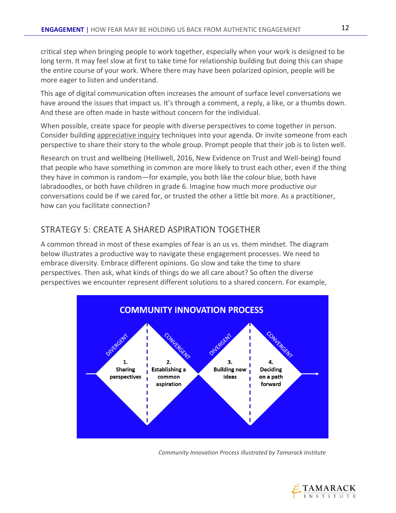critical step when bringing people to work together, especially when your work is designed to be long term. It may feel slow at first to take time for relationship building but doing this can shape the entire course of your work. Where there may have been polarized opinion, people will be more eager to listen and understand.

This age of digital communication often increases the amount of surface level conversations we have around the issues that impact us. It's through a comment, a reply, a like, or a thumbs down. And these are often made in haste without concern for the individual.

When possible, create space for people with diverse perspectives to come together in person. Consider building [appreciative inquiry](http://www.tamarackcommunity.ca/library/appreciative-inquiry) techniques into your agenda. Or invite someone from each perspective to share their story to the whole group. Prompt people that their job is to listen well.

Research on trust and wellbeing (Helliwell, 2016, New Evidence on Trust and Well-being) found that people who have something in common are more likely to trust each other, even if the thing they have in common is random—for example, you both like the colour blue, both have labradoodles, or both have children in grade 6. Imagine how much more productive our conversations could be if we cared for, or trusted the other a little bit more. As a practitioner, how can you facilitate connection?

## STRATEGY 5: CREATE A SHARED ASPIRATION TOGETHER

A common thread in most of these examples of fear is an us vs. them mindset. The diagram below illustrates a productive way to navigate these engagement processes. We need to embrace diversity. Embrace different opinions. Go slow and take the time to share perspectives. Then ask, what kinds of things do we all care about? So often the diverse perspectives we encounter represent different solutions to a shared concern. For example,



*Community Innovation Process illustrated by Tamarack Institute*



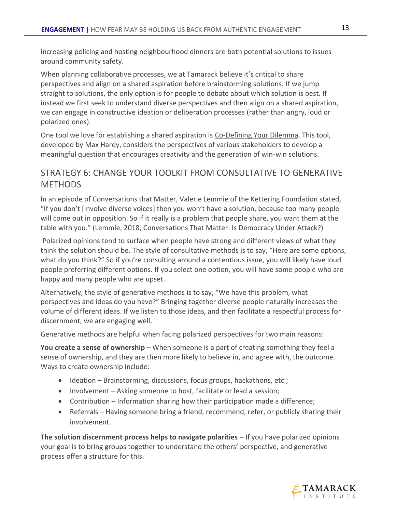increasing policing and hosting neighbourhood dinners are both potential solutions to issues around community safety.

When planning collaborative processes, we at Tamarack believe it's critical to share perspectives and align on a shared aspiration before brainstorming solutions. If we jump straight to solutions, the only option is for people to debate about which solution is best. If instead we first seek to understand diverse perspectives and then align on a shared aspiration, we can engage in constructive ideation or deliberation processes (rather than angry, loud or polarized ones).

One tool we love for establishing a shared aspiration is [Co-Defining Your Dilemma.](https://cdn2.hubspot.net/hubfs/316071/Events/One%20Day%20Events/2019%20MH%20Masterclass/Tools/2019%20Co-defining%20the%20Dilemma%20TOOL.pdf) This tool, developed by Max Hardy, considers the perspectives of various stakeholders to develop a meaningful question that encourages creativity and the generation of win-win solutions.

## STRATEGY 6: CHANGE YOUR TOOLKIT FROM CONSULTATIVE TO GENERATIVE **METHODS**

In an episode of Conversations that Matter, Valerie Lemmie of the Kettering Foundation stated, "If you don't [involve diverse voices] then you won't have a solution, because too many people will come out in opposition. So if it really is a problem that people share, you want them at the table with you." (Lemmie, 2018, Conversations That Matter: Is Democracy Under Attack?)

Polarized opinions tend to surface when people have strong and different views of what they think the solution should be. The style of consultative methods is to say, "Here are some options, what do you think?" So if you're consulting around a contentious issue, you will likely have loud people preferring different options. If you select one option, you will have some people who are happy and many people who are upset.

Alternatively, the style of generative methods is to say, "We have this problem, what perspectives and ideas do you have?" Bringing together diverse people naturally increases the volume of different ideas. If we listen to those ideas, and then facilitate a respectful process for discernment, we are engaging well.

Generative methods are helpful when facing polarized perspectives for two main reasons:

**You create a sense of ownership** – When someone is a part of creating something they feel a sense of ownership, and they are then more likely to believe in, and agree with, the outcome. Ways to create ownership include:

- Ideation Brainstorming, discussions, focus groups, hackathons, etc.;
- Involvement Asking someone to host, facilitate or lead a session;
- Contribution Information sharing how their participation made a difference;
- Referrals Having someone bring a friend, recommend, refer, or publicly sharing their involvement.

**The solution discernment process helps to navigate polarities** – If you have polarized opinions your goal is to bring groups together to understand the others' perspective, and generative process offer a structure for this.

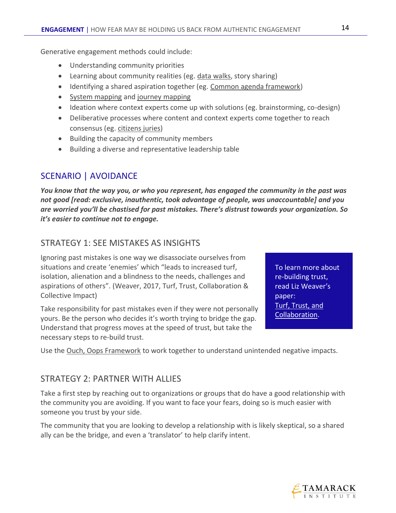Generative engagement methods could include:

- Understanding community priorities
- Learning about community realities (eg[. data walks,](http://www.tamarackcommunity.ca/library/hosting-a-data-walk) story sharing)
- Identifying a shared aspiration together (eg. [Common agenda framework\)](http://www.tamarackcommunity.ca/library/common-agenda-framework-tool)
- [System mapping](https://www.fsg.org/blog/introduction-system-mapping) and [journey mapping](http://www.tamarackcommunity.ca/library/journey-map)
- Ideation where context experts come up with solutions (eg. brainstorming, co-design)
- Deliberative processes where content and context experts come together to reach consensus (eg. [citizens juries\)](http://www.tamarackcommunity.ca/library/hosting-citizen-jury)
- Building the capacity of community members
- Building a diverse and representative leadership table

## SCENARIO | AVOIDANCE

*You know that the way you, or who you represent, has engaged the community in the past was not good [read: exclusive, inauthentic, took advantage of people, was unaccountable] and you are worried you'll be chastised for past mistakes. There's distrust towards your organization. So it's easier to continue not to engage.*

#### STRATEGY 1: SEE MISTAKES AS INSIGHTS

Ignoring past mistakes is one way we disassociate ourselves from situations and create 'enemies' which "leads to increased turf, isolation, alienation and a blindness to the needs, challenges and aspirations of others". (Weaver, 2017, Turf, Trust, Collaboration & Collective Impact)

Take responsibility for past mistakes even if they were not personally yours. Be the person who decides it's worth trying to bridge the gap. Understand that progress moves at the speed of trust, but take the necessary steps to re-build trust.

To learn more about re-building trust, read Liz Weaver's paper: Turf, Trust, and Collaboration.

Use the Ouch, [Oops Framework](https://www.jmu.edu/uwc/tutor-resources/Microagressions.pdf) to work together to understand unintended negative impacts.

#### STRATEGY 2: PARTNER WITH ALLIES

Take a first step by reaching out to organizations or groups that do have a good relationship with the community you are avoiding. If you want to face your fears, doing so is much easier with someone you trust by your side.

The community that you are looking to develop a relationship with is likely skeptical, so a shared ally can be the bridge, and even a 'translator' to help clarify intent.

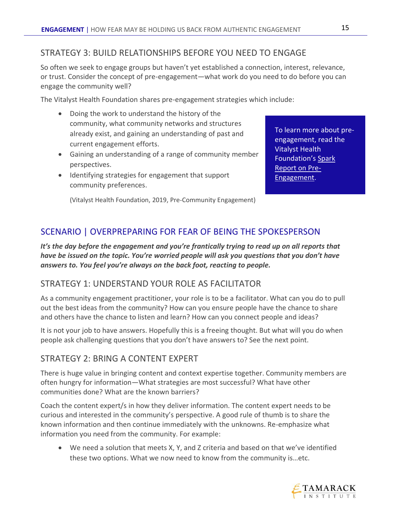#### STRATEGY 3: BUILD RELATIONSHIPS BEFORE YOU NEED TO ENGAGE

So often we seek to engage groups but haven't yet established a connection, interest, relevance, or trust. Consider the concept of pre-engagement—what work do you need to do before you can engage the community well?

The Vitalyst Health Foundation shares pre-engagement strategies which include:

- Doing the work to understand the history of the community, what community networks and structures already exist, and gaining an understanding of past and current engagement efforts.
- Gaining an understanding of a range of community member perspectives.
- Identifying strategies for engagement that support community preferences.

To learn more about preengagement, read the Vitalyst Health Foundation's [Spark](http://vitalysthealth.org/wp-content/uploads/VitalystSpark-PreCommunityEngagement.pdf)  [Report on Pre-](http://vitalysthealth.org/wp-content/uploads/VitalystSpark-PreCommunityEngagement.pdf)[Engagement.](http://vitalysthealth.org/wp-content/uploads/VitalystSpark-PreCommunityEngagement.pdf)

(Vitalyst Health Foundation, 2019, Pre-Community Engagement)

## SCENARIO | OVERPREPARING FOR FEAR OF BEING THE SPOKESPERSON

*It's the day before the engagement and you're frantically trying to read up on all reports that have be issued on the topic. You're worried people will ask you questions that you don't have answers to. You feel you're always on the back foot, reacting to people.*

#### STRATEGY 1: UNDERSTAND YOUR ROLE AS FACILITATOR

As a community engagement practitioner, your role is to be a facilitator. What can you do to pull out the best ideas from the community? How can you ensure people have the chance to share and others have the chance to listen and learn? How can you connect people and ideas?

It is not your job to have answers. Hopefully this is a freeing thought. But what will you do when people ask challenging questions that you don't have answers to? See the next point.

#### STRATEGY 2: BRING A CONTENT EXPERT

There is huge value in bringing content and context expertise together. Community members are often hungry for information—What strategies are most successful? What have other communities done? What are the known barriers?

Coach the content expert/s in how they deliver information. The content expert needs to be curious and interested in the community's perspective. A good rule of thumb is to share the known information and then continue immediately with the unknowns. Re-emphasize what information you need from the community. For example:

• We need a solution that meets X, Y, and Z criteria and based on that we've identified these two options. What we now need to know from the community is…etc.

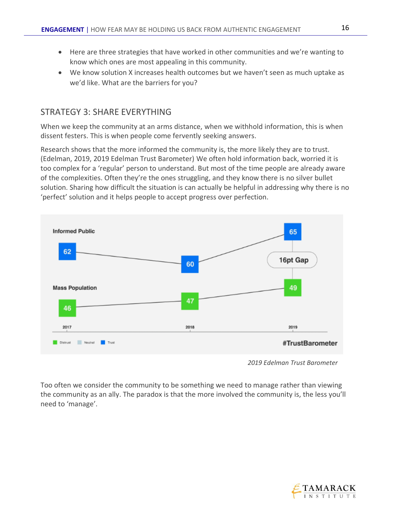- Here are three strategies that have worked in other communities and we're wanting to know which ones are most appealing in this community.
- We know solution X increases health outcomes but we haven't seen as much uptake as we'd like. What are the barriers for you?

#### STRATEGY 3: SHARE EVERYTHING

When we keep the community at an arms distance, when we withhold information, this is when dissent festers. This is when people come fervently seeking answers.

Research shows that the more informed the community is, the more likely they are to trust. (Edelman, 2019, 2019 Edelman Trust Barometer) We often hold information back, worried it is too complex for a 'regular' person to understand. But most of the time people are already aware of the complexities. Often they're the ones struggling, and they know there is no silver bullet solution. Sharing how difficult the situation is can actually be helpful in addressing why there is no 'perfect' solution and it helps people to accept progress over perfection.



 *<sup>2019</sup> Edelman Trust Barometer*

Too often we consider the community to be something we need to manage rather than viewing the community as an ally. The paradox is that the more involved the community is, the less you'll need to 'manage'.

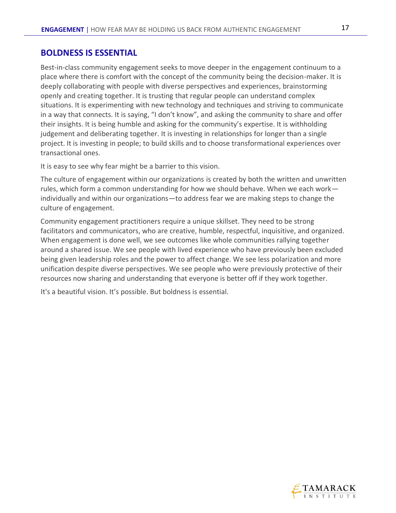#### **BOLDNESS IS ESSENTIAL**

Best-in-class community engagement seeks to move deeper in the engagement continuum to a place where there is comfort with the concept of the community being the decision-maker. It is deeply collaborating with people with diverse perspectives and experiences, brainstorming openly and creating together. It is trusting that regular people can understand complex situations. It is experimenting with new technology and techniques and striving to communicate in a way that connects. It is saying, "I don't know", and asking the community to share and offer their insights. It is being humble and asking for the community's expertise. It is withholding judgement and deliberating together. It is investing in relationships for longer than a single project. It is investing in people; to build skills and to choose transformational experiences over transactional ones.

It is easy to see why fear might be a barrier to this vision.

The culture of engagement within our organizations is created by both the written and unwritten rules, which form a common understanding for how we should behave. When we each work individually and within our organizations—to address fear we are making steps to change the culture of engagement.

Community engagement practitioners require a unique skillset. They need to be strong facilitators and communicators, who are creative, humble, respectful, inquisitive, and organized. When engagement is done well, we see outcomes like whole communities rallying together around a shared issue. We see people with lived experience who have previously been excluded being given leadership roles and the power to affect change. We see less polarization and more unification despite diverse perspectives. We see people who were previously protective of their resources now sharing and understanding that everyone is better off if they work together.

It's a beautiful vision. It's possible. But boldness is essential.



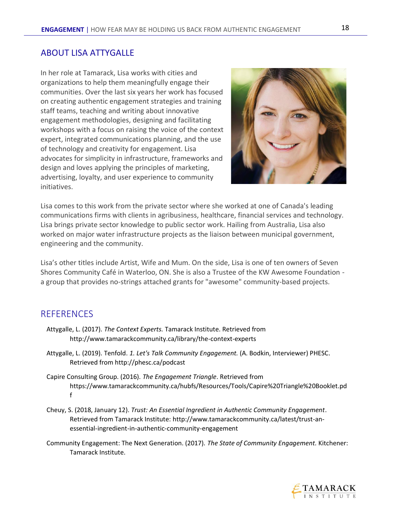#### ABOUT LISA ATTYGALLE

In her role at Tamarack, Lisa works with cities and organizations to help them meaningfully engage their communities. Over the last six years her work has focused on creating authentic engagement strategies and training staff teams, teaching and writing about innovative engagement methodologies, designing and facilitating workshops with a focus on raising the voice of the context expert, integrated communications planning, and the use of technology and creativity for engagement. Lisa advocates for simplicity in infrastructure, frameworks and design and loves applying the principles of marketing, advertising, loyalty, and user experience to community initiatives.



Lisa comes to this work from the private sector where she worked at one of Canada's leading communications firms with clients in agribusiness, healthcare, financial services and technology. Lisa brings private sector knowledge to public sector work. Hailing from Australia, Lisa also worked on major water infrastructure projects as the liaison between municipal government, engineering and the community.

Lisa's other titles include Artist, Wife and Mum. On the side, Lisa is one of ten owners of Seven Shores Community Café in Waterloo, ON. She is also a Trustee of the KW Awesome Foundation a group that provides no-strings attached grants for "awesome" community-based projects.

#### **REFERENCES**

- Attygalle, L. (2017). *The Context Experts.* Tamarack Institute. Retrieved from http://www.tamarackcommunity.ca/library/the-context-experts
- Attygalle, L. (2019). Tenfold. *1. Let's Talk Community Engagement.* (A. Bodkin, Interviewer) PHESC. Retrieved from http://phesc.ca/podcast
- Capire Consulting Group. (2016). *The Engagement Triangle*. Retrieved from https://www.tamarackcommunity.ca/hubfs/Resources/Tools/Capire%20Triangle%20Booklet.pd f
- Cheuy, S. (2018, January 12). *Trust: An Essential Ingredient in Authentic Community Engagement*. Retrieved from Tamarack Institute: http://www.tamarackcommunity.ca/latest/trust-anessential-ingredient-in-authentic-community-engagement
- Community Engagement: The Next Generation. (2017). *The State of Community Engagement.* Kitchener: Tamarack Institute.